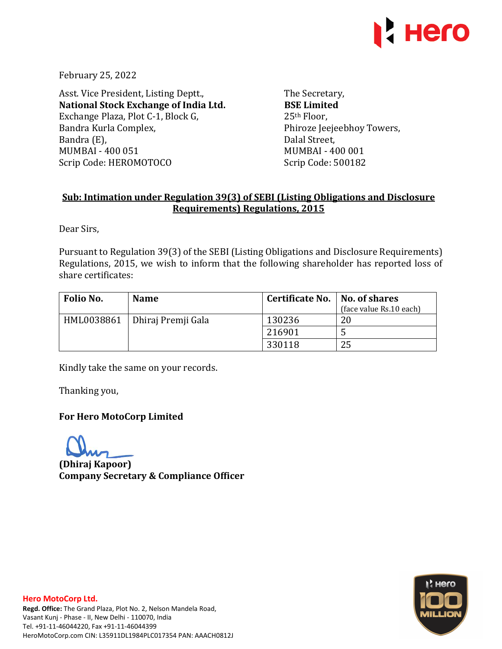

February 25, 2022

Asst. Vice President, Listing Deptt., **National Stock Exchange of India Ltd.**  Exchange Plaza, Plot C-1, Block G, Bandra Kurla Complex, Bandra (E), MUMBAI - 400 051 Scrip Code: HEROMOTOCO

The Secretary, **BSE Limited**  25th Floor, Phiroze Jeejeebhoy Towers, Dalal Street, MUMBAI - 400 001 Scrip Code: 500182

# **Sub: Intimation under Regulation 39(3) of SEBI (Listing Obligations and Disclosure Requirements) Regulations, 2015**

Dear Sirs,

Pursuant to Regulation 39(3) of the SEBI (Listing Obligations and Disclosure Requirements) Regulations, 2015, we wish to inform that the following shareholder has reported loss of share certificates:

| Folio No. | <b>Name</b>                     | Certificate No.   No. of shares | (face value Rs.10 each) |
|-----------|---------------------------------|---------------------------------|-------------------------|
|           | HML0038861   Dhiraj Premji Gala | 130236                          | 20                      |
|           |                                 | 216901                          | C.                      |
|           |                                 | 330118                          | 25                      |

Kindly take the same on your records.

Thanking you,

## **For Hero MotoCorp Limited**

**(Dhiraj Kapoor) Company Secretary & Compliance Officer**



### **Hero MotoCorp Ltd.**